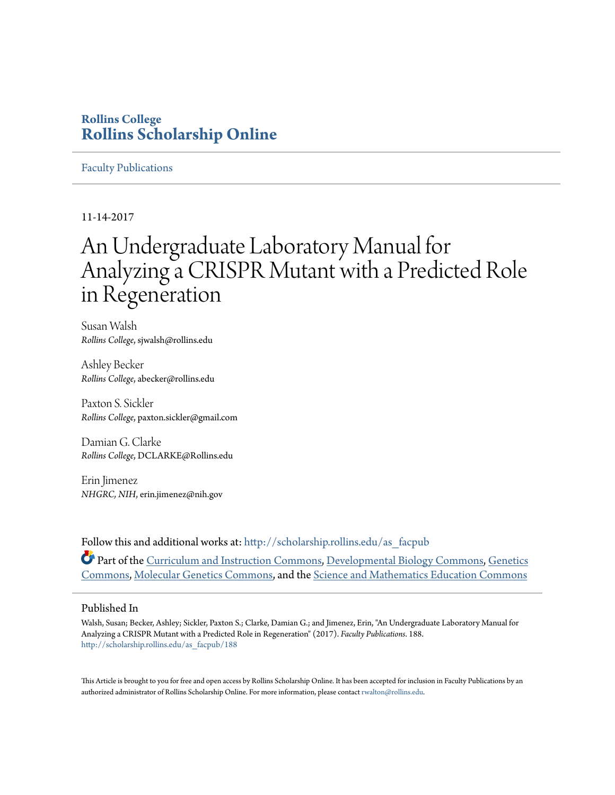### **Rollins College [Rollins Scholarship Online](http://scholarship.rollins.edu?utm_source=scholarship.rollins.edu%2Fas_facpub%2F188&utm_medium=PDF&utm_campaign=PDFCoverPages)**

#### [Faculty Publications](http://scholarship.rollins.edu/as_facpub?utm_source=scholarship.rollins.edu%2Fas_facpub%2F188&utm_medium=PDF&utm_campaign=PDFCoverPages)

11-14-2017

## An Undergraduate Laboratory Manual for Analyzing a CRISPR Mutant with a Predicted Role in Regeneration

Susan Walsh *Rollins College*, sjwalsh@rollins.edu

Ashley Becker *Rollins College*, abecker@rollins.edu

Paxton S. Sickler *Rollins College*, paxton.sickler@gmail.com

Damian G. Clarke *Rollins College*, DCLARKE@Rollins.edu

Erin Jimenez *NHGRC, NIH*, erin.jimenez@nih.gov

Follow this and additional works at: [http://scholarship.rollins.edu/as\\_facpub](http://scholarship.rollins.edu/as_facpub?utm_source=scholarship.rollins.edu%2Fas_facpub%2F188&utm_medium=PDF&utm_campaign=PDFCoverPages) Part of the [Curriculum and Instruction Commons](http://network.bepress.com/hgg/discipline/786?utm_source=scholarship.rollins.edu%2Fas_facpub%2F188&utm_medium=PDF&utm_campaign=PDFCoverPages), [Developmental Biology Commons](http://network.bepress.com/hgg/discipline/11?utm_source=scholarship.rollins.edu%2Fas_facpub%2F188&utm_medium=PDF&utm_campaign=PDFCoverPages), [Genetics](http://network.bepress.com/hgg/discipline/29?utm_source=scholarship.rollins.edu%2Fas_facpub%2F188&utm_medium=PDF&utm_campaign=PDFCoverPages) [Commons,](http://network.bepress.com/hgg/discipline/29?utm_source=scholarship.rollins.edu%2Fas_facpub%2F188&utm_medium=PDF&utm_campaign=PDFCoverPages) [Molecular Genetics Commons,](http://network.bepress.com/hgg/discipline/31?utm_source=scholarship.rollins.edu%2Fas_facpub%2F188&utm_medium=PDF&utm_campaign=PDFCoverPages) and the [Science and Mathematics Education Commons](http://network.bepress.com/hgg/discipline/800?utm_source=scholarship.rollins.edu%2Fas_facpub%2F188&utm_medium=PDF&utm_campaign=PDFCoverPages)

#### Published In

Walsh, Susan; Becker, Ashley; Sickler, Paxton S.; Clarke, Damian G.; and Jimenez, Erin, "An Undergraduate Laboratory Manual for Analyzing a CRISPR Mutant with a Predicted Role in Regeneration" (2017). *Faculty Publications*. 188. [http://scholarship.rollins.edu/as\\_facpub/188](http://scholarship.rollins.edu/as_facpub/188?utm_source=scholarship.rollins.edu%2Fas_facpub%2F188&utm_medium=PDF&utm_campaign=PDFCoverPages)

This Article is brought to you for free and open access by Rollins Scholarship Online. It has been accepted for inclusion in Faculty Publications by an authorized administrator of Rollins Scholarship Online. For more information, please contact [rwalton@rollins.edu](mailto:rwalton@rollins.edu).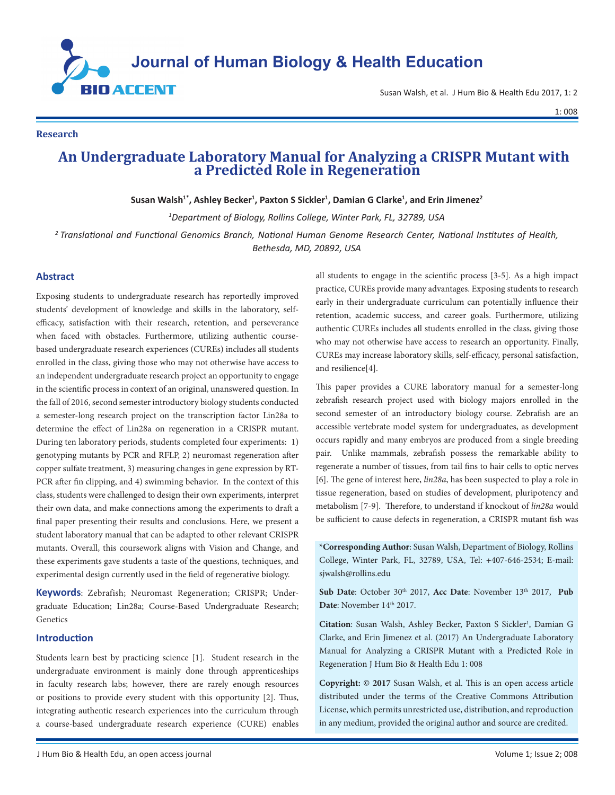

Susan Walsh, et al. J Hum Bio & Health Edu 2017, 1: 2

1: 008

#### **Research**

# **An Undergraduate Laboratory Manual for Analyzing a CRISPR Mutant with a Predicted Role in Regeneration**

Susan Walsh<sup>1\*</sup>, Ashley Becker<sup>1</sup>, Paxton S Sickler<sup>1</sup>, Damian G Clarke<sup>1</sup>, and Erin Jimenez<sup>2</sup>

*1 Department of Biology, Rollins College, Winter Park, FL, 32789, USA*

*<sup>2</sup>Translational and Functional Genomics Branch, National Human Genome Research Center, National Institutes of Health, Bethesda, MD, 20892, USA*

#### **Abstract**

Exposing students to undergraduate research has reportedly improved students' development of knowledge and skills in the laboratory, selfefficacy, satisfaction with their research, retention, and perseverance when faced with obstacles. Furthermore, utilizing authentic coursebased undergraduate research experiences (CUREs) includes all students enrolled in the class, giving those who may not otherwise have access to an independent undergraduate research project an opportunity to engage in the scientific process in context of an original, unanswered question. In the fall of 2016, second semester introductory biology students conducted a semester-long research project on the transcription factor Lin28a to determine the effect of Lin28a on regeneration in a CRISPR mutant. During ten laboratory periods, students completed four experiments: 1) genotyping mutants by PCR and RFLP, 2) neuromast regeneration after copper sulfate treatment, 3) measuring changes in gene expression by RT-PCR after fin clipping, and 4) swimming behavior. In the context of this class, students were challenged to design their own experiments, interpret their own data, and make connections among the experiments to draft a final paper presenting their results and conclusions. Here, we present a student laboratory manual that can be adapted to other relevant CRISPR mutants. Overall, this coursework aligns with Vision and Change, and these experiments gave students a taste of the questions, techniques, and experimental design currently used in the field of regenerative biology.

**Keywords**: Zebrafish; Neuromast Regeneration; CRISPR; Undergraduate Education; Lin28a; Course-Based Undergraduate Research; Genetics

#### **Introduction**

Students learn best by practicing science [1]. Student research in the undergraduate environment is mainly done through apprenticeships in faculty research labs; however, there are rarely enough resources or positions to provide every student with this opportunity [2]. Thus, integrating authentic research experiences into the curriculum through a course-based undergraduate research experience (CURE) enables

all students to engage in the scientific process [3-5]. As a high impact practice, CUREs provide many advantages. Exposing students to research early in their undergraduate curriculum can potentially influence their retention, academic success, and career goals. Furthermore, utilizing authentic CUREs includes all students enrolled in the class, giving those who may not otherwise have access to research an opportunity. Finally, CUREs may increase laboratory skills, self-efficacy, personal satisfaction, and resilience[4].

This paper provides a CURE laboratory manual for a semester-long zebrafish research project used with biology majors enrolled in the second semester of an introductory biology course. Zebrafish are an accessible vertebrate model system for undergraduates, as development occurs rapidly and many embryos are produced from a single breeding pair. Unlike mammals, zebrafish possess the remarkable ability to regenerate a number of tissues, from tail fins to hair cells to optic nerves [6]. The gene of interest here, *lin28a*, has been suspected to play a role in tissue regeneration, based on studies of development, pluripotency and metabolism [7-9]. Therefore, to understand if knockout of *lin28a* would be sufficient to cause defects in regeneration, a CRISPR mutant fish was

**\*Corresponding Author**: Susan Walsh, Department of Biology, Rollins College, Winter Park, FL, 32789, USA, Tel: +407-646-2534; E-mail: [sjwalsh@rollins.edu](mailto:sjwalsh@rollins.edu) 

Sub Date: October 30<sup>th</sup> 2017, Acc Date: November 13<sup>th</sup> 2017, Pub Date: November 14<sup>th</sup> 2017.

Citation: Susan Walsh, Ashley Becker, Paxton S Sickler<sup>1</sup>, Damian G Clarke, and Erin Jimenez et al. (2017) An Undergraduate Laboratory Manual for Analyzing a CRISPR Mutant with a Predicted Role in Regeneration J Hum Bio & Health Edu 1: 008

**Copyright: © 2017** Susan Walsh, et al. This is an open access article distributed under the terms of the Creative Commons Attribution License, which permits unrestricted use, distribution, and reproduction in any medium, provided the original author and source are credited.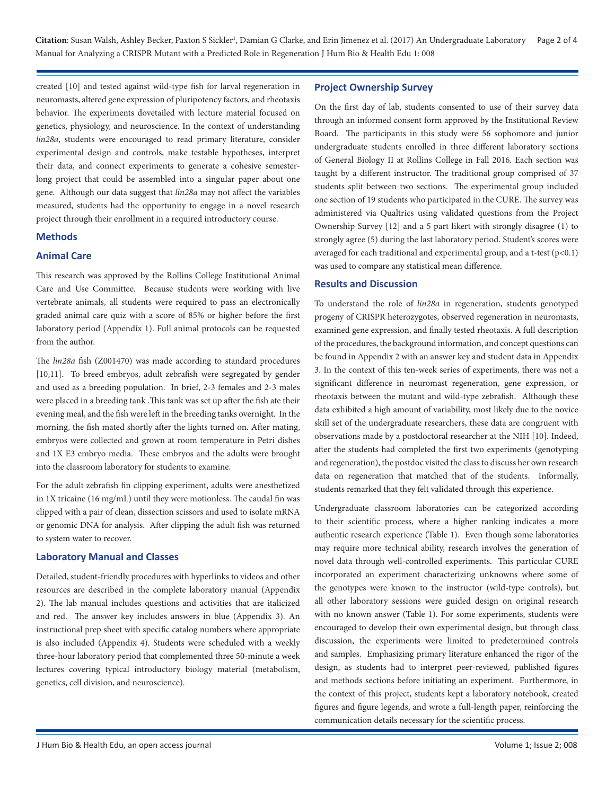Citation: Susan Walsh, Ashley Becker, Paxton S Sickler<sup>1</sup>, Damian G Clarke, and Erin Jimenez et al. (2017) An Undergraduate Laboratory Page 2 of 4 Manual for Analyzing a CRISPR Mutant with a Predicted Role in Regeneration J Hum Bio & Health Edu 1: 008

created [10] and tested against wild-type fish for larval regeneration in neuromasts, altered gene expression of pluripotency factors, and rheotaxis behavior. The experiments dovetailed with lecture material focused on genetics, physiology, and neuroscience. In the context of understanding *lin28a*, students were encouraged to read primary literature, consider experimental design and controls, make testable hypotheses, interpret their data, and connect experiments to generate a cohesive semesterlong project that could be assembled into a singular paper about one gene. Although our data suggest that *lin28a* may not affect the variables measured, students had the opportunity to engage in a novel research project through their enrollment in a required introductory course.

#### **Methods**

#### **Animal Care**

This research was approved by the Rollins College Institutional Animal Care and Use Committee. Because students were working with live vertebrate animals, all students were required to pass an electronically graded animal care quiz with a score of 85% or higher before the first laboratory period (Appendix 1). Full animal protocols can be requested from the author.

The *lin28a* fish (Z001470) was made according to standard procedures [10,11]. To breed embryos, adult zebrafish were segregated by gender and used as a breeding population. In brief, 2-3 females and 2-3 males were placed in a breeding tank .This tank was set up after the fish ate their evening meal, and the fish were left in the breeding tanks overnight. In the morning, the fish mated shortly after the lights turned on. After mating, embryos were collected and grown at room temperature in Petri dishes and 1X E3 embryo media. These embryos and the adults were brought into the classroom laboratory for students to examine.

For the adult zebrafish fin clipping experiment, adults were anesthetized in 1X tricaine (16 mg/mL) until they were motionless. The caudal fin was clipped with a pair of clean, dissection scissors and used to isolate mRNA or genomic DNA for analysis. After clipping the adult fish was returned to system water to recover.

#### **Laboratory Manual and Classes**

Detailed, student-friendly procedures with hyperlinks to videos and other resources are described in the complete laboratory manual (Appendix 2). The lab manual includes questions and activities that are italicized and red. The answer key includes answers in blue (Appendix 3). An instructional prep sheet with specific catalog numbers where appropriate is also included (Appendix 4). Students were scheduled with a weekly three-hour laboratory period that complemented three 50-minute a week lectures covering typical introductory biology material (metabolism, genetics, cell division, and neuroscience).

#### **Project Ownership Survey**

On the first day of lab, students consented to use of their survey data through an informed consent form approved by the Institutional Review Board. The participants in this study were 56 sophomore and junior undergraduate students enrolled in three different laboratory sections of General Biology II at Rollins College in Fall 2016. Each section was taught by a different instructor. The traditional group comprised of 37 students split between two sections. The experimental group included one section of 19 students who participated in the CURE. The survey was administered via Qualtrics using validated questions from the Project Ownership Survey [12] and a 5 part likert with strongly disagree (1) to strongly agree (5) during the last laboratory period. Student's scores were averaged for each traditional and experimental group, and a t-test  $(p<0.1)$ was used to compare any statistical mean difference.

#### **Results and Discussion**

To understand the role of *lin28a* in regeneration, students genotyped progeny of CRISPR heterozygotes, observed regeneration in neuromasts, examined gene expression, and finally tested rheotaxis. A full description of the procedures, the background information, and concept questions can be found in Appendix 2 with an answer key and student data in Appendix 3. In the context of this ten-week series of experiments, there was not a significant difference in neuromast regeneration, gene expression, or rheotaxis between the mutant and wild-type zebrafish. Although these data exhibited a high amount of variability, most likely due to the novice skill set of the undergraduate researchers, these data are congruent with observations made by a postdoctoral researcher at the NIH [10]. Indeed, after the students had completed the first two experiments (genotyping and regeneration), the postdoc visited the class to discuss her own research data on regeneration that matched that of the students. Informally, students remarked that they felt validated through this experience.

Undergraduate classroom laboratories can be categorized according to their scientific process, where a higher ranking indicates a more authentic research experience (Table 1). Even though some laboratories may require more technical ability, research involves the generation of novel data through well-controlled experiments. This particular CURE incorporated an experiment characterizing unknowns where some of the genotypes were known to the instructor (wild-type controls), but all other laboratory sessions were guided design on original research with no known answer (Table 1). For some experiments, students were encouraged to develop their own experimental design, but through class discussion, the experiments were limited to predetermined controls and samples. Emphasizing primary literature enhanced the rigor of the design, as students had to interpret peer-reviewed, published figures and methods sections before initiating an experiment. Furthermore, in the context of this project, students kept a laboratory notebook, created figures and figure legends, and wrote a full-length paper, reinforcing the communication details necessary for the scientific process.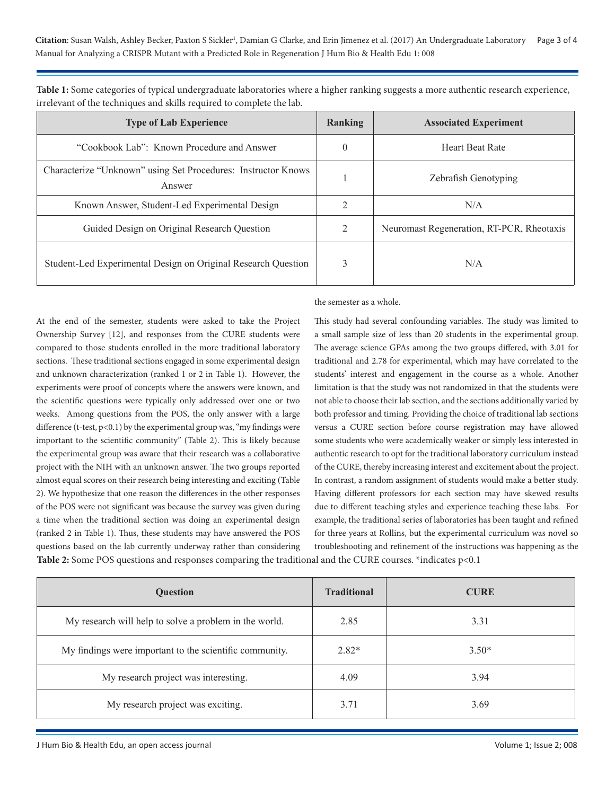Citation: Susan Walsh, Ashley Becker, Paxton S Sickler<sup>1</sup>, Damian G Clarke, and Erin Jimenez et al. (2017) An Undergraduate Laboratory Page 3 of 4 Manual for Analyzing a CRISPR Mutant with a Predicted Role in Regeneration J Hum Bio & Health Edu 1: 008

| <b>Type of Lab Experience</b>                                           | Ranking  | <b>Associated Experiment</b>              |
|-------------------------------------------------------------------------|----------|-------------------------------------------|
| "Cookbook Lab": Known Procedure and Answer                              | $\theta$ | <b>Heart Beat Rate</b>                    |
| Characterize "Unknown" using Set Procedures: Instructor Knows<br>Answer |          | <b>Zebrafish Genotyping</b>               |
| Known Answer, Student-Led Experimental Design                           |          | N/A                                       |
| Guided Design on Original Research Question                             | 2        | Neuromast Regeneration, RT-PCR, Rheotaxis |
| Student-Led Experimental Design on Original Research Question           |          | N/A                                       |

**Table 1:** Some categories of typical undergraduate laboratories where a higher ranking suggests a more authentic research experience, irrelevant of the techniques and skills required to complete the lab.

At the end of the semester, students were asked to take the Project Ownership Survey [12], and responses from the CURE students were compared to those students enrolled in the more traditional laboratory sections. These traditional sections engaged in some experimental design and unknown characterization (ranked 1 or 2 in Table 1). However, the experiments were proof of concepts where the answers were known, and the scientific questions were typically only addressed over one or two weeks. Among questions from the POS, the only answer with a large difference (t-test,  $p<0.1$ ) by the experimental group was, "my findings were important to the scientific community" (Table 2). This is likely because the experimental group was aware that their research was a collaborative project with the NIH with an unknown answer. The two groups reported almost equal scores on their research being interesting and exciting (Table 2). We hypothesize that one reason the differences in the other responses of the POS were not significant was because the survey was given during a time when the traditional section was doing an experimental design (ranked 2 in Table 1). Thus, these students may have answered the POS questions based on the lab currently underway rather than considering **Table 2:** Some POS questions and responses comparing the traditional and the CURE courses. \*indicates p<0.1

the semester as a whole.

This study had several confounding variables. The study was limited to a small sample size of less than 20 students in the experimental group. The average science GPAs among the two groups differed, with 3.01 for traditional and 2.78 for experimental, which may have correlated to the students' interest and engagement in the course as a whole. Another limitation is that the study was not randomized in that the students were not able to choose their lab section, and the sections additionally varied by both professor and timing. Providing the choice of traditional lab sections versus a CURE section before course registration may have allowed some students who were academically weaker or simply less interested in authentic research to opt for the traditional laboratory curriculum instead of the CURE, thereby increasing interest and excitement about the project. In contrast, a random assignment of students would make a better study. Having different professors for each section may have skewed results due to different teaching styles and experience teaching these labs. For example, the traditional series of laboratories has been taught and refined for three years at Rollins, but the experimental curriculum was novel so troubleshooting and refinement of the instructions was happening as the

| <b>Ouestion</b>                                         | <b>Traditional</b> | <b>CURE</b> |
|---------------------------------------------------------|--------------------|-------------|
| My research will help to solve a problem in the world.  | 2.85               | 3.31        |
| My findings were important to the scientific community. | $2.82*$            | $3.50*$     |
| My research project was interesting.                    | 4.09               | 3.94        |
| My research project was exciting.                       | 3.71               | 3.69        |